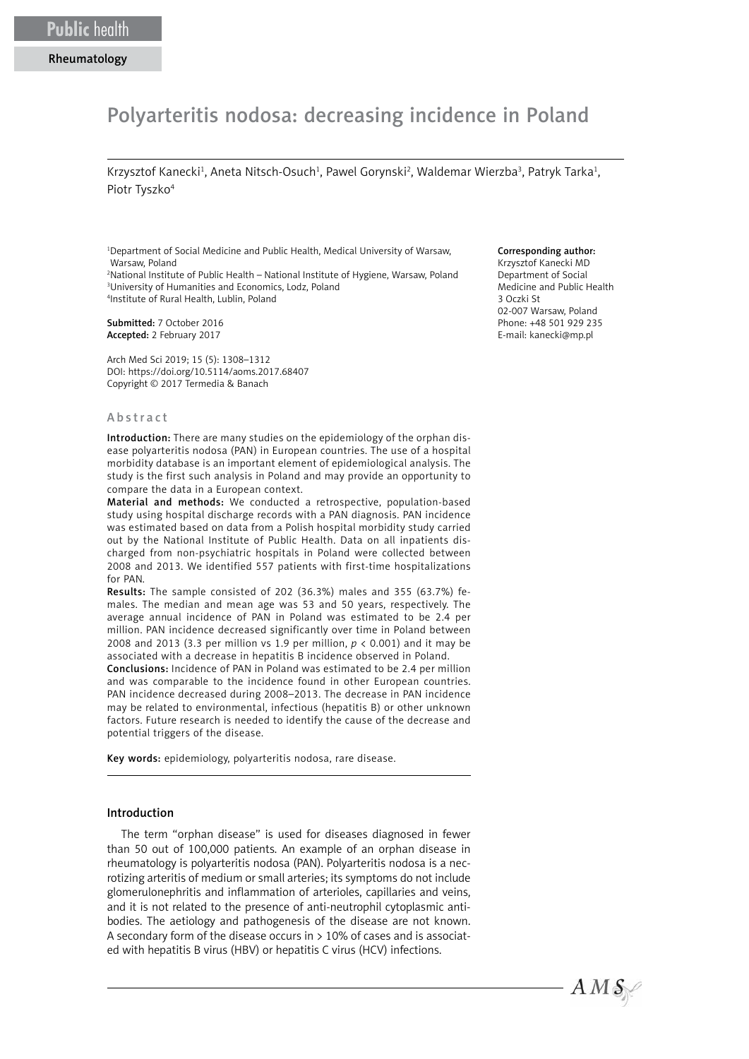# Polyarteritis nodosa: decreasing incidence in Poland

Krzysztof Kanecki<sup>1</sup>, Aneta Nitsch-Osuch<sup>1</sup>, Pawel Gorynski<sup>2</sup>, Waldemar Wierzba<sup>3</sup>, Patryk Tarka<sup>1</sup>, Piotr Tyszko<sup>4</sup>

1 Department of Social Medicine and Public Health, Medical University of Warsaw, Warsaw, Poland

2 National Institute of Public Health – National Institute of Hygiene, Warsaw, Poland 3 University of Humanities and Economics, Lodz, Poland 4 Institute of Rural Health, Lublin, Poland

Submitted: 7 October 2016 Accepted: 2 February 2017

Arch Med Sci 2019; 15 (5): 1308–1312 DOI: https://doi.org/10.5114/aoms.2017.68407 Copyright © 2017 Termedia & Banach

#### Abstract

Introduction: There are many studies on the epidemiology of the orphan disease polyarteritis nodosa (PAN) in European countries. The use of a hospital morbidity database is an important element of epidemiological analysis. The study is the first such analysis in Poland and may provide an opportunity to compare the data in a European context.

Material and methods: We conducted a retrospective, population-based study using hospital discharge records with a PAN diagnosis. PAN incidence was estimated based on data from a Polish hospital morbidity study carried out by the National Institute of Public Health. Data on all inpatients discharged from non-psychiatric hospitals in Poland were collected between 2008 and 2013. We identified 557 patients with first-time hospitalizations for PAN.

Results: The sample consisted of 202 (36.3%) males and 355 (63.7%) females. The median and mean age was 53 and 50 years, respectively. The average annual incidence of PAN in Poland was estimated to be 2.4 per million. PAN incidence decreased significantly over time in Poland between 2008 and 2013 (3.3 per million vs 1.9 per million,  $p < 0.001$ ) and it may be associated with a decrease in hepatitis B incidence observed in Poland.

Conclusions: Incidence of PAN in Poland was estimated to be 2.4 per million and was comparable to the incidence found in other European countries. PAN incidence decreased during 2008–2013. The decrease in PAN incidence may be related to environmental, infectious (hepatitis B) or other unknown factors. Future research is needed to identify the cause of the decrease and potential triggers of the disease.

Key words: epidemiology, polyarteritis nodosa, rare disease.

#### Introduction

The term "orphan disease" is used for diseases diagnosed in fewer than 50 out of 100,000 patients. An example of an orphan disease in rheumatology is polyarteritis nodosa (PAN). Polyarteritis nodosa is a necrotizing arteritis of medium or small arteries; its symptoms do not include glomerulonephritis and inflammation of arterioles, capillaries and veins, and it is not related to the presence of anti-neutrophil cytoplasmic antibodies. The aetiology and pathogenesis of the disease are not known. A secondary form of the disease occurs in  $>10\%$  of cases and is associated with hepatitis B virus (HBV) or hepatitis C virus (HCV) infections.

## Corresponding author:

Krzysztof Kanecki MD Department of Social Medicine and Public Health 3 Oczki St 02-007 Warsaw, Poland Phone: +48 501 929 235 E-mail: [kanecki@mp.pl](mailto:kanecki@mp.pl)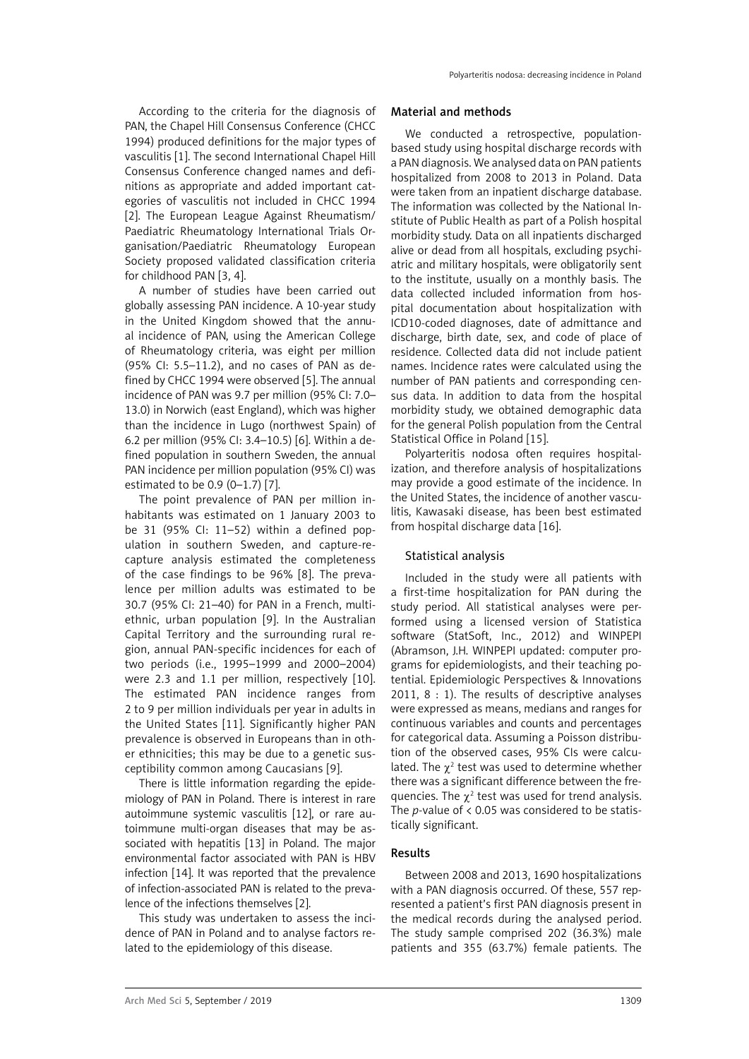According to the criteria for the diagnosis of PAN, the Chapel Hill Consensus Conference (CHCC 1994) produced definitions for the major types of vasculitis [1]. The second International Chapel Hill Consensus Conference changed names and definitions as appropriate and added important categories of vasculitis not included in CHCC 1994 [2]. The European League Against Rheumatism/ Paediatric Rheumatology International Trials Organisation/Paediatric Rheumatology European Society proposed validated classification criteria for childhood PAN [3, 4].

A number of studies have been carried out globally assessing PAN incidence. A 10-year study in the United Kingdom showed that the annual incidence of PAN, using the American College of Rheumatology criteria, was eight per million (95% CI: 5.5–11.2), and no cases of PAN as defined by CHCC 1994 were observed [5]. The annual incidence of PAN was 9.7 per million (95% CI: 7.0– 13.0) in Norwich (east England), which was higher than the incidence in Lugo (northwest Spain) of 6.2 per million (95% CI: 3.4–10.5) [6]. Within a defined population in southern Sweden, the annual PAN incidence per million population (95% CI) was estimated to be 0.9 (0–1.7) [7].

The point prevalence of PAN per million inhabitants was estimated on 1 January 2003 to be 31 (95% CI: 11–52) within a defined population in southern Sweden, and capture-recapture analysis estimated the completeness of the case findings to be 96% [8]. The prevalence per million adults was estimated to be 30.7 (95% CI: 21–40) for PAN in a French, multiethnic, urban population [9]. In the Australian Capital Territory and the surrounding rural region, annual PAN-specific incidences for each of two periods (i.e., 1995–1999 and 2000–2004) were 2.3 and 1.1 per million, respectively [10]. The estimated PAN incidence ranges from 2 to 9 per million individuals per year in adults in the United States [11]. Significantly higher PAN prevalence is observed in Europeans than in other ethnicities; this may be due to a genetic susceptibility common among Caucasians [9].

There is little information regarding the epidemiology of PAN in Poland. There is interest in rare autoimmune systemic vasculitis [12], or rare autoimmune multi-organ diseases that may be associated with hepatitis [13] in Poland. The major environmental factor associated with PAN is HBV infection [14]. It was reported that the prevalence of infection-associated PAN is related to the prevalence of the infections themselves [2].

This study was undertaken to assess the incidence of PAN in Poland and to analyse factors related to the epidemiology of this disease.

## Material and methods

We conducted a retrospective, populationbased study using hospital discharge records with a PAN diagnosis. We analysed data on PAN patients hospitalized from 2008 to 2013 in Poland. Data were taken from an inpatient discharge database. The information was collected by the National Institute of Public Health as part of a Polish hospital morbidity study. Data on all inpatients discharged alive or dead from all hospitals, excluding psychiatric and military hospitals, were obligatorily sent to the institute, usually on a monthly basis. The data collected included information from hospital documentation about hospitalization with ICD10-coded diagnoses, date of admittance and discharge, birth date, sex, and code of place of residence. Collected data did not include patient names. Incidence rates were calculated using the number of PAN patients and corresponding census data. In addition to data from the hospital morbidity study, we obtained demographic data for the general Polish population from the Central Statistical Office in Poland [15].

Polyarteritis nodosa often requires hospitalization, and therefore analysis of hospitalizations may provide a good estimate of the incidence. In the United States, the incidence of another vasculitis, Kawasaki disease, has been best estimated from hospital discharge data [16].

# Statistical analysis

Included in the study were all patients with a first-time hospitalization for PAN during the study period. All statistical analyses were performed using a licensed version of Statistica software (StatSoft, Inc., 2012) and WINPEPI (Abramson, J.H. WINPEPI updated: computer programs for epidemiologists, and their teaching potential. Epidemiologic Perspectives & Innovations 2011, 8 : 1). The results of descriptive analyses were expressed as means, medians and ranges for continuous variables and counts and percentages for categorical data. Assuming a Poisson distribution of the observed cases, 95% CIs were calculated. The  $\chi^2$  test was used to determine whether there was a significant difference between the frequencies. The  $\chi^2$  test was used for trend analysis. The *p*-value of < 0.05 was considered to be statistically significant.

# Results

Between 2008 and 2013, 1690 hospitalizations with a PAN diagnosis occurred. Of these, 557 represented a patient's first PAN diagnosis present in the medical records during the analysed period. The study sample comprised 202 (36.3%) male patients and 355 (63.7%) female patients. The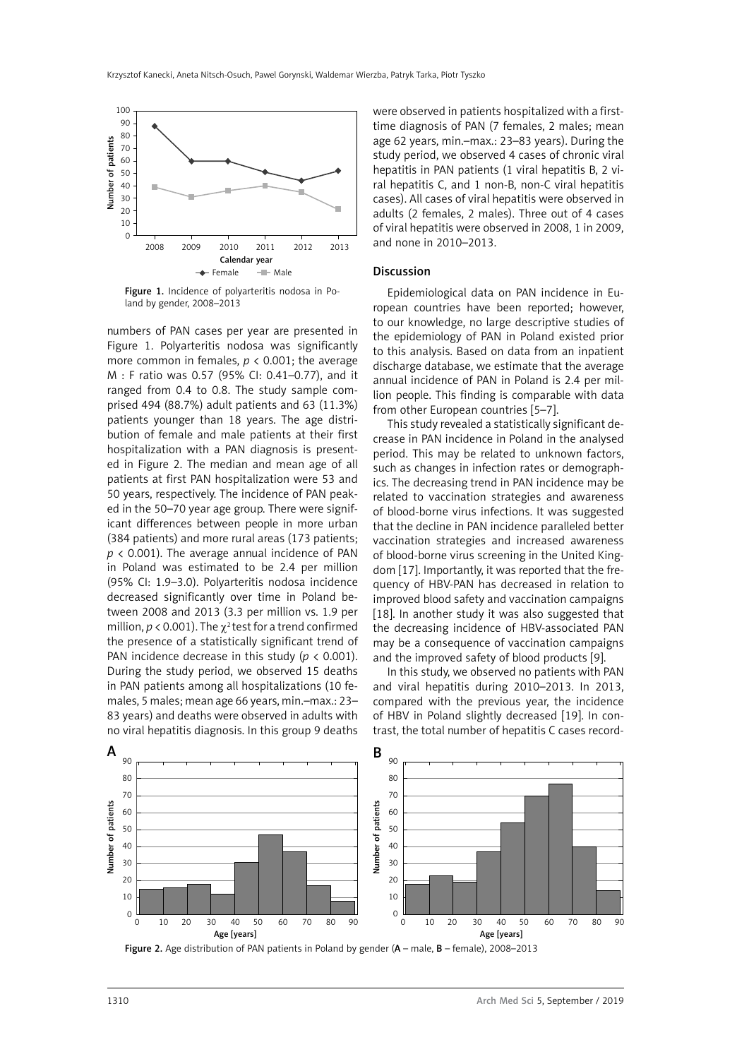

Figure 1. Incidence of polyarteritis nodosa in Poland by gender, 2008–2013

numbers of PAN cases per year are presented in Figure 1. Polyarteritis nodosa was significantly more common in females,  $p < 0.001$ ; the average M : F ratio was 0.57 (95% CI: 0.41–0.77), and it ranged from 0.4 to 0.8. The study sample comprised 494 (88.7%) adult patients and 63 (11.3%) patients younger than 18 years. The age distribution of female and male patients at their first hospitalization with a PAN diagnosis is presented in Figure 2. The median and mean age of all patients at first PAN hospitalization were 53 and 50 years, respectively. The incidence of PAN peaked in the 50–70 year age group. There were significant differences between people in more urban (384 patients) and more rural areas (173 patients; *p* < 0.001). The average annual incidence of PAN in Poland was estimated to be 2.4 per million (95% CI: 1.9–3.0). Polyarteritis nodosa incidence decreased significantly over time in Poland between 2008 and 2013 (3.3 per million vs. 1.9 per million,  $p < 0.001$ ). The  $\chi^2$  test for a trend confirmed the presence of a statistically significant trend of PAN incidence decrease in this study (*p* < 0.001). During the study period, we observed 15 deaths in PAN patients among all hospitalizations (10 females, 5 males; mean age 66 years, min.–max.: 23– 83 years) and deaths were observed in adults with no viral hepatitis diagnosis. In this group 9 deaths were observed in patients hospitalized with a firsttime diagnosis of PAN (7 females, 2 males; mean age 62 years, min.–max.: 23–83 years). During the study period, we observed 4 cases of chronic viral hepatitis in PAN patients (1 viral hepatitis B, 2 viral hepatitis C, and 1 non-B, non-C viral hepatitis cases). All cases of viral hepatitis were observed in adults (2 females, 2 males). Three out of 4 cases of viral hepatitis were observed in 2008, 1 in 2009, and none in 2010–2013.

## Discussion

Epidemiological data on PAN incidence in European countries have been reported; however, to our knowledge, no large descriptive studies of the epidemiology of PAN in Poland existed prior to this analysis. Based on data from an inpatient discharge database, we estimate that the average annual incidence of PAN in Poland is 2.4 per million people. This finding is comparable with data from other European countries [5–7].

This study revealed a statistically significant decrease in PAN incidence in Poland in the analysed period. This may be related to unknown factors, such as changes in infection rates or demographics. The decreasing trend in PAN incidence may be related to vaccination strategies and awareness of blood-borne virus infections. It was suggested that the decline in PAN incidence paralleled better vaccination strategies and increased awareness of blood-borne virus screening in the United Kingdom [17]. Importantly, it was reported that the frequency of HBV-PAN has decreased in relation to improved blood safety and vaccination campaigns [18]. In another study it was also suggested that the decreasing incidence of HBV-associated PAN may be a consequence of vaccination campaigns and the improved safety of blood products [9].

In this study, we observed no patients with PAN and viral hepatitis during 2010–2013. In 2013, compared with the previous year, the incidence of HBV in Poland slightly decreased [19]. In contrast, the total number of hepatitis C cases record-



Figure 2. Age distribution of PAN patients in Poland by gender (A – male, B – female), 2008–2013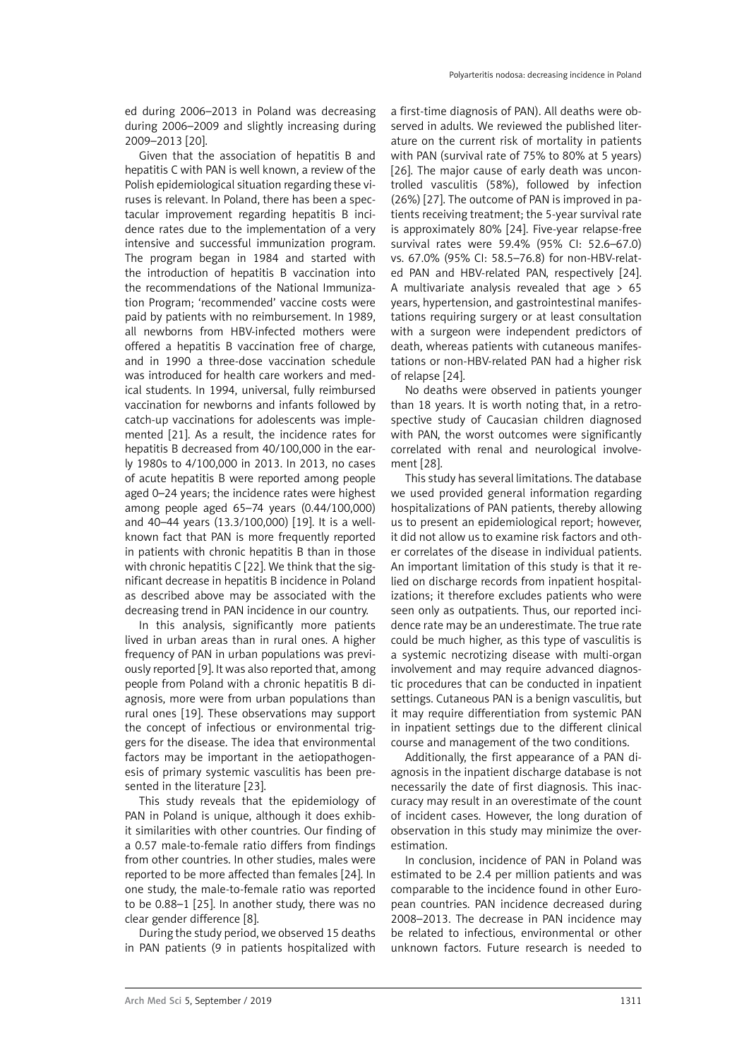ed during 2006–2013 in Poland was decreasing during 2006–2009 and slightly increasing during 2009–2013 [20].

Given that the association of hepatitis B and hepatitis C with PAN is well known, a review of the Polish epidemiological situation regarding these viruses is relevant. In Poland, there has been a spectacular improvement regarding hepatitis B incidence rates due to the implementation of a very intensive and successful immunization program. The program began in 1984 and started with the introduction of hepatitis B vaccination into the recommendations of the National Immunization Program; 'recommended' vaccine costs were paid by patients with no reimbursement. In 1989, all newborns from HBV-infected mothers were offered a hepatitis B vaccination free of charge, and in 1990 a three-dose vaccination schedule was introduced for health care workers and medical students. In 1994, universal, fully reimbursed vaccination for newborns and infants followed by catch-up vaccinations for adolescents was implemented [21]. As a result, the incidence rates for hepatitis B decreased from 40/100,000 in the early 1980s to 4/100,000 in 2013. In 2013, no cases of acute hepatitis B were reported among people aged 0–24 years; the incidence rates were highest among people aged 65–74 years (0.44/100,000) and 40–44 years (13.3/100,000) [19]. It is a wellknown fact that PAN is more frequently reported in patients with chronic hepatitis B than in those with chronic hepatitis C [22]. We think that the significant decrease in hepatitis B incidence in Poland as described above may be associated with the decreasing trend in PAN incidence in our country.

In this analysis, significantly more patients lived in urban areas than in rural ones. A higher frequency of PAN in urban populations was previously reported [9]. It was also reported that, among people from Poland with a chronic hepatitis B diagnosis, more were from urban populations than rural ones [19]. These observations may support the concept of infectious or environmental triggers for the disease. The idea that environmental factors may be important in the aetiopathogenesis of primary systemic vasculitis has been presented in the literature [23].

This study reveals that the epidemiology of PAN in Poland is unique, although it does exhibit similarities with other countries. Our finding of a 0.57 male-to-female ratio differs from findings from other countries. In other studies, males were reported to be more affected than females [24]. In one study, the male-to-female ratio was reported to be 0.88–1 [25]. In another study, there was no clear gender difference [8].

During the study period, we observed 15 deaths in PAN patients (9 in patients hospitalized with a first-time diagnosis of PAN). All deaths were observed in adults. We reviewed the published literature on the current risk of mortality in patients with PAN (survival rate of 75% to 80% at 5 years) [26]. The major cause of early death was uncontrolled vasculitis (58%), followed by infection (26%) [27]. The outcome of PAN is improved in patients receiving treatment; the 5-year survival rate is approximately 80% [24]. Five-year relapse-free survival rates were 59.4% (95% CI: 52.6–67.0) vs. 67.0% (95% CI: 58.5–76.8) for non-HBV-related PAN and HBV-related PAN, respectively [24]. A multivariate analysis revealed that age  $> 65$ years, hypertension, and gastrointestinal manifestations requiring surgery or at least consultation with a surgeon were independent predictors of death, whereas patients with cutaneous manifestations or non-HBV-related PAN had a higher risk of relapse [24].

No deaths were observed in patients younger than 18 years. It is worth noting that, in a retrospective study of Caucasian children diagnosed with PAN, the worst outcomes were significantly correlated with renal and neurological involvement [28].

This study has several limitations. The database we used provided general information regarding hospitalizations of PAN patients, thereby allowing us to present an epidemiological report; however, it did not allow us to examine risk factors and other correlates of the disease in individual patients. An important limitation of this study is that it relied on discharge records from inpatient hospitalizations; it therefore excludes patients who were seen only as outpatients. Thus, our reported incidence rate may be an underestimate. The true rate could be much higher, as this type of vasculitis is a systemic necrotizing disease with multi-organ involvement and may require advanced diagnostic procedures that can be conducted in inpatient settings. Cutaneous PAN is a benign vasculitis, but it may require differentiation from systemic PAN in inpatient settings due to the different clinical course and management of the two conditions.

Additionally, the first appearance of a PAN diagnosis in the inpatient discharge database is not necessarily the date of first diagnosis. This inaccuracy may result in an overestimate of the count of incident cases. However, the long duration of observation in this study may minimize the overestimation.

In conclusion, incidence of PAN in Poland was estimated to be 2.4 per million patients and was comparable to the incidence found in other European countries. PAN incidence decreased during 2008–2013. The decrease in PAN incidence may be related to infectious, environmental or other unknown factors. Future research is needed to